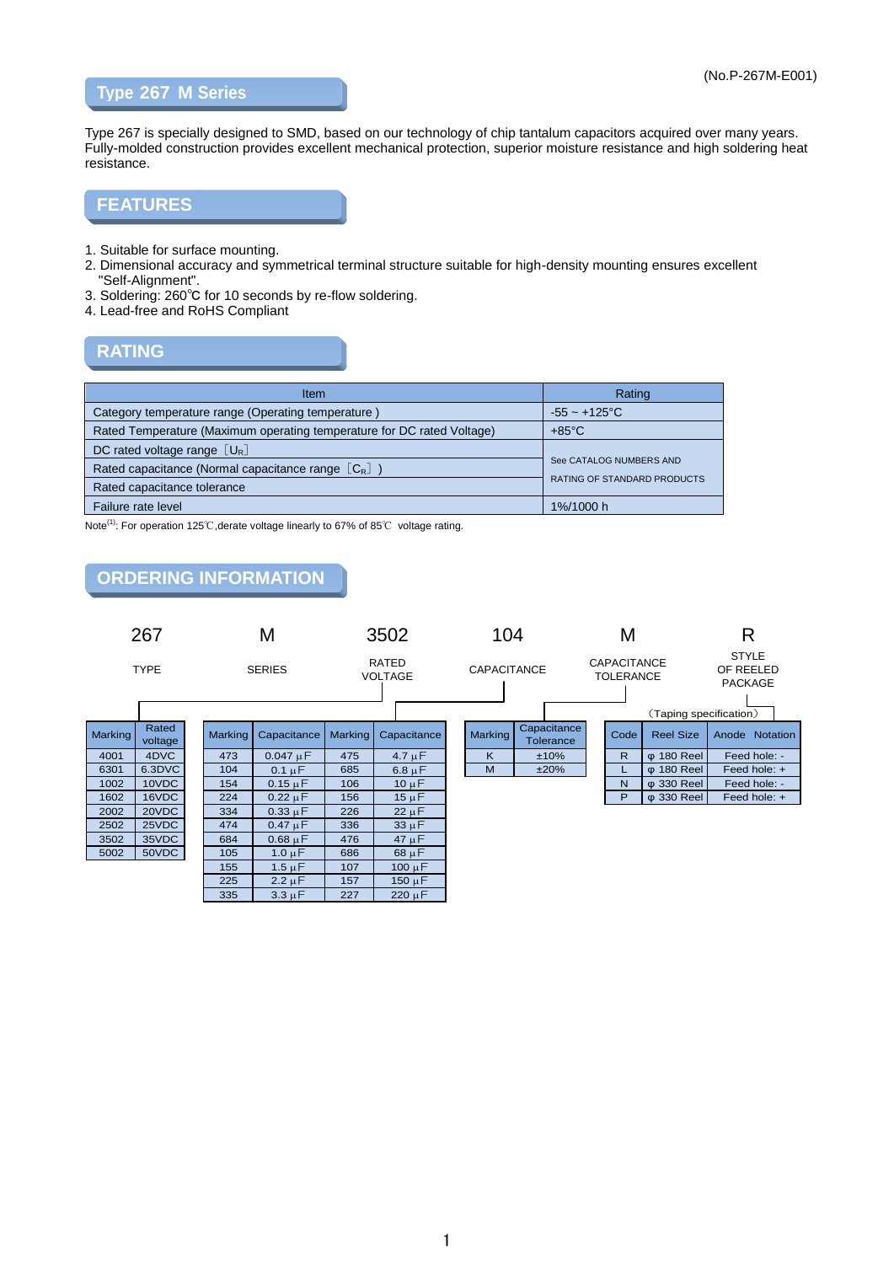### **Type 267 M Series**

Type 267 is specially designed to SMD, based on our technology of chip tantalum capacitors acquired over many years. Fully-molded construction provides excellent mechanical protection, superior moisture resistance and high soldering heat resistance.

### **FEATURES**

- 1. Suitable for surface mounting.
- 2. Dimensional accuracy and symmetrical terminal structure suitable for high-density mounting ensures excellent "Self-Alignment".
- 3. Soldering: 260℃ for 10 seconds by re-flow soldering.
- 4. Lead-free and RoHS Compliant

### **RATING**

| <b>Item</b>                                                            | Rating                             |  |  |
|------------------------------------------------------------------------|------------------------------------|--|--|
| Category temperature range (Operating temperature)                     | $-55 - +125$ °C                    |  |  |
| Rated Temperature (Maximum operating temperature for DC rated Voltage) | $+85^{\circ}$ C                    |  |  |
| DC rated voltage range $\lceil U_{\rm R} \rceil$                       |                                    |  |  |
| Rated capacitance (Normal capacitance range $[C_R]$ )                  | See CATALOG NUMBERS AND            |  |  |
| Rated capacitance tolerance                                            | <b>RATING OF STANDARD PRODUCTS</b> |  |  |
| Failure rate level                                                     | 1%/1000 h                          |  |  |

Note<sup>(1)</sup>: For operation 125℃, derate voltage linearly to 67% of 85℃ voltage rating.

### **ORDERING INFORMATION**

|         | 267              |  |                | M             | 3502           |                         | 104 |                    |                          | M |                                        |                        | R                                           |                |
|---------|------------------|--|----------------|---------------|----------------|-------------------------|-----|--------------------|--------------------------|---|----------------------------------------|------------------------|---------------------------------------------|----------------|
|         | <b>TYPE</b>      |  |                | <b>SERIES</b> |                | RATED<br><b>VOLTAGE</b> |     | <b>CAPACITANCE</b> |                          |   | <b>CAPACITANCE</b><br><b>TOLERANCE</b> | (Taping specification) | <b>STYLE</b><br>OF REELED<br><b>PACKAGE</b> |                |
| Marking | Rated<br>voltage |  | <b>Marking</b> | Capacitance   | <b>Marking</b> | Capacitance             |     | <b>Marking</b>     | Capacitance<br>Tolerance |   | Code                                   | <b>Reel Size</b>       |                                             | Anode Notation |
| 4001    | 4DVC             |  | 473            | $0.047 \mu F$ | 475            | $4.7 \mu F$             |     | Κ                  | ±10%                     |   | R.                                     | $\phi$ 180 Reel        |                                             | Feed hole: -   |
| 6301    | 6.3DVC           |  | 104            | $0.1 \mu F$   | 685            | $6.8 \mu F$             |     | M                  | ±20%                     |   | ∟                                      | $\phi$ 180 Reel        |                                             | Feed hole: +   |
| 1002    | 10VDC            |  | 154            | $0.15 \mu F$  | 106            | $10 \mu F$              |     |                    |                          |   | N                                      | φ 330 Reel             |                                             | Feed hole: -   |
| 1602    | 16VDC            |  | 224            | $0.22 \mu F$  | 156            | $15 \mu F$              |     |                    |                          |   | P                                      | φ 330 Reel             |                                             | Feed hole: +   |
| 2002    | 20VDC            |  | 334            | $0.33 \mu F$  | 226            | $22 \mu F$              |     |                    |                          |   |                                        |                        |                                             |                |
| 2502    | 25VDC            |  | 474            | $0.47 \mu F$  | 336            | $33 \mu F$              |     |                    |                          |   |                                        |                        |                                             |                |
| 3502    | 35VDC            |  | 684            | $0.68 \mu F$  | 476            | $47 \mu F$              |     |                    |                          |   |                                        |                        |                                             |                |
| 5002    | 50VDC            |  | 105            | $1.0 \mu F$   | 686            | $68 \mu F$              |     |                    |                          |   |                                        |                        |                                             |                |
|         |                  |  | 155            | $1.5 \mu F$   | 107            | $100 \mu F$             |     |                    |                          |   |                                        |                        |                                             |                |
|         |                  |  | 225            | $2.2 \mu F$   | 157            | $150 \mu F$             |     |                    |                          |   |                                        |                        |                                             |                |
|         |                  |  | 335            | $3.3 \mu F$   | 227            | $220 \mu F$             |     |                    |                          |   |                                        |                        |                                             |                |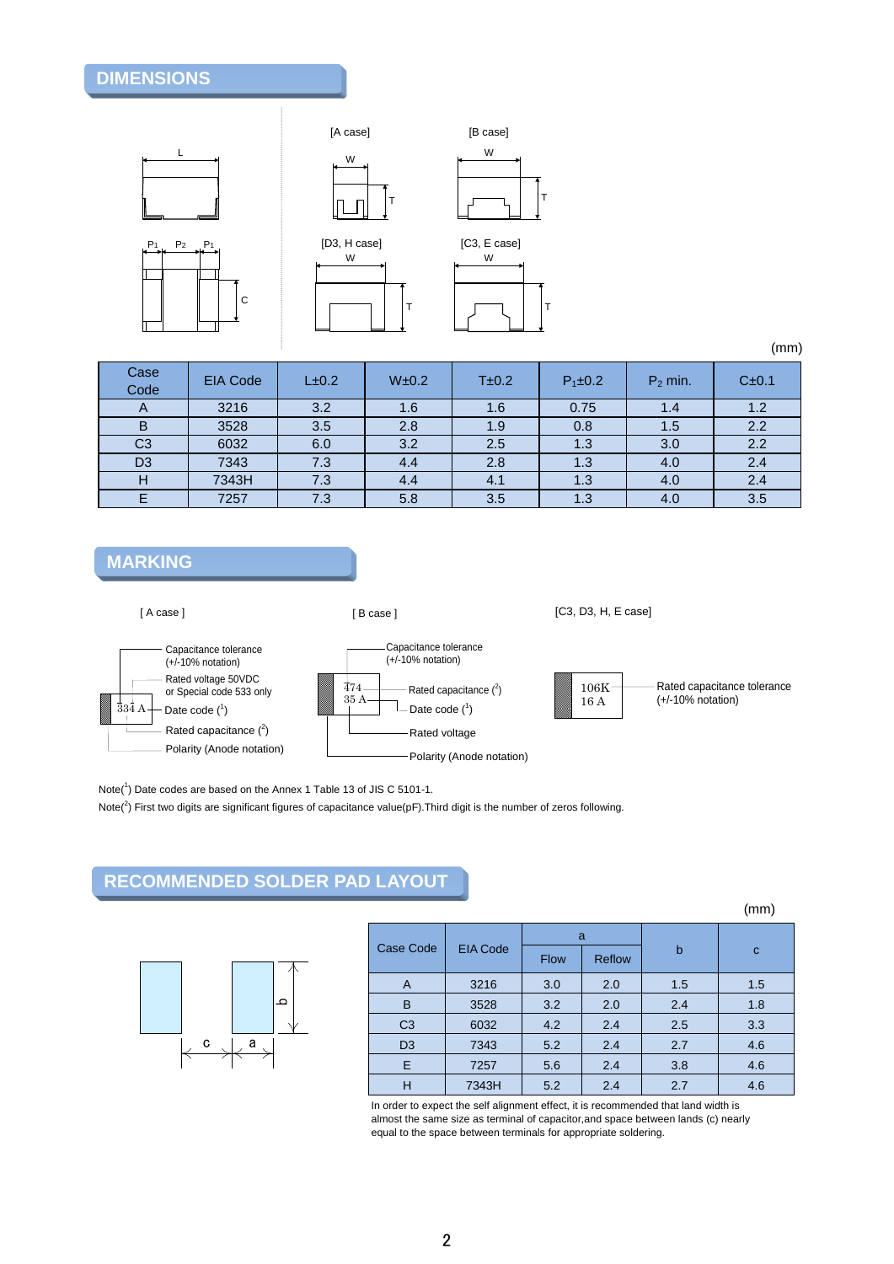## **DIMENSIONS**











| Case<br>Code   | <b>EIA Code</b> | $L\pm 0.2$ | W±0.2 | T±0.2 | $P_1 \pm 0.2$ | $P_2$ min. | C±0.1 |
|----------------|-----------------|------------|-------|-------|---------------|------------|-------|
|                | 3216            | 3.2        | 1.6   | 1.6   | 0.75          | 1.4        | 1.2   |
| B              | 3528            | 3.5        | 2.8   | 1.9   | 0.8           | 1.5        | 2.2   |
| C <sub>3</sub> | 6032            | 6.0        | 3.2   | 2.5   | 1.3           | 3.0        | 2.2   |
| D <sub>3</sub> | 7343            | 7.3        | 4.4   | 2.8   | 1.3           | 4.0        | 2.4   |
| н              | 7343H           | 7.3        | 4.4   | 4.1   | 1.3           | 4.0        | 2.4   |
|                | 7257            | 7.3        | 5.8   | 3.5   | 1.3           | 4.0        | 3.5   |

### **MARKING**

[ A case ]

[ B case ]

[C3, D3, H, E case]





Note(<sup>1</sup>) Date codes are based on the Annex 1 Table 13 of JIS C 5101-1.

Note(<sup>2</sup>) First two digits are significant figures of capacitance value(pF). Third digit is the number of zeros following.

## **RECOMMENDED SOLDER PAD LAYOUT**



|        |                |                 |             |        |     | (mm)         |
|--------|----------------|-----------------|-------------|--------|-----|--------------|
|        |                |                 | a           |        |     |              |
|        | Case Code      | <b>EIA Code</b> | <b>Flow</b> | Reflow | b   | $\mathbf{C}$ |
|        | A              | 3216            | 3.0         | 2.0    | 1.5 | 1.5          |
| q      | B              | 3528            | 3.2         | 2.0    | 2.4 | 1.8          |
|        | C <sub>3</sub> | 6032            | 4.2         | 2.4    | 2.5 | 3.3          |
| C<br>a | D <sub>3</sub> | 7343            | 5.2         | 2.4    | 2.7 | 4.6          |
|        | E              | 7257            | 5.6         | 2.4    | 3.8 | 4.6          |
|        | H              | 7343H           | 5.2         | 2.4    | 2.7 | 4.6          |

In order to expect the self alignment effect, it is recommended that land width is almost the same size as terminal of capacitor,and space between lands (c) nearly equal to the space between terminals for appropriate soldering.

### 2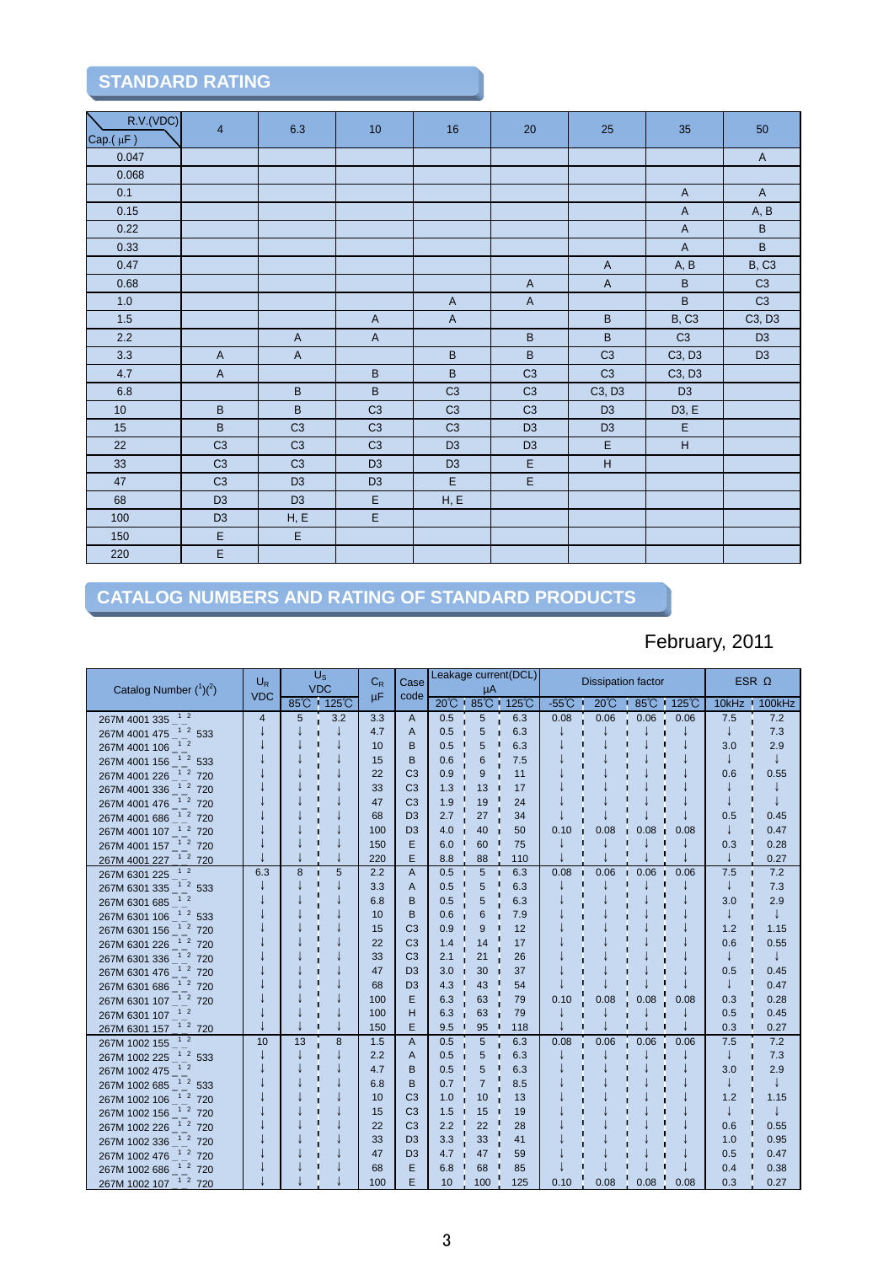# **STANDARD RATING**

| R.V.(VDC)<br>$Cap.(\mu F)$ | $\overline{4}$            | 6.3                | 10             | 16             | 20                      | 25                      | 35                        | 50             |
|----------------------------|---------------------------|--------------------|----------------|----------------|-------------------------|-------------------------|---------------------------|----------------|
| 0.047                      |                           |                    |                |                |                         |                         |                           | $\overline{A}$ |
| 0.068                      |                           |                    |                |                |                         |                         |                           |                |
| 0.1                        |                           |                    |                |                |                         |                         | $\boldsymbol{\mathsf{A}}$ | $\overline{A}$ |
| 0.15                       |                           |                    |                |                |                         |                         | $\overline{A}$            | A, B           |
| 0.22                       |                           |                    |                |                |                         |                         | $\boldsymbol{\mathsf{A}}$ | $\, {\bf B}$   |
| 0.33                       |                           |                    |                |                |                         |                         | $\mathsf{A}$              | $\sf B$        |
| 0.47                       |                           |                    |                |                |                         | $\overline{A}$          | A, B                      | <b>B, C3</b>   |
| 0.68                       |                           |                    |                |                | $\mathsf{A}$            | $\mathsf A$             | $\sf B$                   | C <sub>3</sub> |
| $1.0$                      |                           |                    |                | $\mathsf{A}$   | $\mathsf A$             |                         | $\sf B$                   | C <sub>3</sub> |
| $1.5$                      |                           |                    | $\mathsf A$    | $\mathsf A$    |                         | $\sf B$                 | <b>B, C3</b>              | C3, D3         |
| 2.2                        |                           | $\mathsf A$        | $\mathsf A$    |                | $\sf B$                 | $\sf B$                 | C3                        | D <sub>3</sub> |
| 3.3                        | $\boldsymbol{\mathsf{A}}$ | $\mathsf A$        |                | $\sf B$        | $\overline{\mathsf{B}}$ | C <sub>3</sub>          | C3, D3                    | D <sub>3</sub> |
| 4.7                        | $\mathsf A$               |                    | $\sf B$        | $\sf B$        | C <sub>3</sub>          | C <sub>3</sub>          | C3, D3                    |                |
| $6.8\,$                    |                           | $\sf B$            | $\sf B$        | C3             | C <sub>3</sub>          | C3, D3                  | D <sub>3</sub>            |                |
| 10 <sub>1</sub>            | $\sf B$                   | $\sf B$            | C <sub>3</sub> | C <sub>3</sub> | C <sub>3</sub>          | D <sub>3</sub>          | D3, E                     |                |
| 15                         | $\sf B$                   | C <sub>3</sub>     | C <sub>3</sub> | C <sub>3</sub> | D <sub>3</sub>          | D <sub>3</sub>          | $\mathsf E$               |                |
| 22                         | C <sub>3</sub>            | C <sub>3</sub>     | C <sub>3</sub> | D <sub>3</sub> | D <sub>3</sub>          | $\mathsf E$             | $\boldsymbol{\mathsf{H}}$ |                |
| 33                         | C <sub>3</sub>            | C <sub>3</sub>     | D <sub>3</sub> | D <sub>3</sub> | $\mathsf E$             | $\overline{\mathsf{H}}$ |                           |                |
| 47                         | C <sub>3</sub>            | D <sub>3</sub>     | D <sub>3</sub> | $\mathsf E$    | $\overline{E}$          |                         |                           |                |
| 68                         | D <sub>3</sub>            | D <sub>3</sub>     | $\mathsf E$    | H, E           |                         |                         |                           |                |
| 100                        | D <sub>3</sub>            | ${\sf H}, {\sf E}$ | $\overline{E}$ |                |                         |                         |                           |                |
| 150                        | $\mathsf E$               | $\overline{E}$     |                |                |                         |                         |                           |                |
| 220                        | $\overline{E}$            |                    |                |                |                         |                         |                           |                |

## **CATALOG NUMBERS AND RATING OF STANDARD PRODUCTS**

# February, 2011

| Catalog Number $(^1)(^2)$                    | $U_{R}$<br><b>VDC</b> |    | $U_{\rm S}$<br>$C_R$<br><b>VDC</b><br>μF |     | Case<br>code   | Leakage current(DCL)<br>μA |                |     |                 | <b>Dissipation factor</b> |            |              | ESR $\Omega$ |              |
|----------------------------------------------|-----------------------|----|------------------------------------------|-----|----------------|----------------------------|----------------|-----|-----------------|---------------------------|------------|--------------|--------------|--------------|
|                                              |                       |    | 85°C 125°C                               |     |                |                            | 20℃ 85℃ 125℃   |     | $-55^{\circ}$ C | $20^{\circ}$ C            |            | 85°C · 125°C |              | 10kHz 100kHz |
| 267M 4001 335 <sup>12</sup>                  | $\overline{4}$        | 5  | 3.2                                      | 3.3 | A              | 0.5                        | 5              | 6.3 | 0.08            | 0.06                      | 0.06       | 0.06         | 7.5          | 7.2          |
| 267M 4001 475 <sup>1</sup> <sup>2</sup> 533  |                       |    |                                          | 4.7 | A              | 0.5                        | 5              | 6.3 |                 |                           |            |              | J            | 7.3          |
| 12<br>267M 4001 106                          |                       |    |                                          | 10  | B              | 0.5                        | 5              | 6.3 |                 |                           |            |              | 3.0          | 2.9          |
| 267M 4001 156 <sup>1</sup> <sup>2</sup> 533  |                       |    |                                          | 15  | B              | 0.6                        | 6              | 7.5 |                 |                           |            |              |              | ↓            |
| 267M 4001 226 <sup>1</sup> <sup>2</sup> 720  |                       |    |                                          | 22  | C <sub>3</sub> | 0.9                        | 9              | 11  |                 |                           |            |              | 0.6          | 0.55         |
| 267M 4001 336 <sup>1</sup> <sup>2</sup> 720  |                       |    |                                          | 33  | C <sub>3</sub> | 1.3                        | 13             | 17  |                 |                           |            |              |              |              |
| 267M 4001 476 <sup>1</sup> <sup>2</sup> 720  |                       |    |                                          | 47  | C <sub>3</sub> | 1.9                        | 19             | 24  |                 |                           |            |              |              |              |
| 267M 4001 686 <sup>12</sup> 720              |                       |    |                                          | 68  | D <sub>3</sub> | 2.7                        | 27             | 34  |                 |                           |            |              | 0.5          | 0.45         |
| 267M 4001 107 <sup>1</sup> <sup>1</sup> 2720 |                       |    |                                          | 100 | D <sub>3</sub> | 4.0                        | 40             | 50  | 0.10            | 0.08                      | 0.08<br>n. | 0.08         | J            | 0.47         |
| 267M 4001 157 <sup>1</sup> 2 720             |                       |    |                                          | 150 | Е              | 6.0                        | 60             | 75  |                 |                           |            |              | 0.3          | 0.28         |
| 267M 4001 227 <sup>1</sup> <sup>2</sup> 720  |                       |    |                                          | 220 | E              | 8.8                        | 88             | 110 |                 |                           |            |              |              | 0.27         |
| 267M 6301 225                                | 6.3                   | 8  | 5                                        | 2.2 | A              | 0.5                        | 5              | 6.3 | 0.08            | 0.06                      | 0.06<br>n. | 0.06         | 7.5          | 7.2          |
| 267M 6301 335 $\frac{1}{2}$ 533              |                       |    |                                          | 3.3 | A              | 0.5                        | 5              | 6.3 |                 |                           |            |              |              | 7.3          |
| 1 <sub>2</sub><br>267M 6301 685              |                       |    |                                          | 6.8 | B              | 0.5                        | 5              | 6.3 |                 |                           |            |              | 3.0          | 2.9          |
| 267M 6301 106 <sup>1</sup> <sup>2</sup> 533  |                       |    |                                          | 10  | B              | 0.6                        | 6              | 7.9 |                 |                           |            |              | J            |              |
| 267M 6301 156 <sup>1</sup> <sup>2</sup> 720  |                       |    |                                          | 15  | C <sub>3</sub> | 0.9                        | 9              | 12  |                 |                           |            |              | 1.2          | 1.15         |
| 267M 6301 226 <sup>1</sup> <sup>2</sup> 720  |                       |    |                                          | 22  | C <sub>3</sub> | 1.4                        | 14             | 17  |                 |                           |            |              | 0.6          | 0.55         |
| 267M 6301 336 <sup>1</sup> <sup>2</sup> 720  |                       |    |                                          | 33  | C <sub>3</sub> | 2.1                        | 21             | 26  |                 |                           |            |              |              |              |
| 267M 6301 476 <sup>1</sup> 2 720             |                       |    |                                          | 47  | D <sub>3</sub> | 3.0                        | 30             | 37  |                 |                           |            |              | 0.5          | 0.45         |
| 267M 6301 686 <sup>12</sup> 720              |                       |    |                                          | 68  | D <sub>3</sub> | 4.3                        | 43             | 54  |                 |                           |            |              | J            | 0.47         |
| 267M 6301 107 <sup>1</sup> <sup>2</sup> 720  |                       |    |                                          | 100 | Е              | 6.3                        | 63             | 79  | 0.10            | 0.08                      | 0.08       | 0.08         | 0.3          | 0.28         |
| 267M 6301 107 <sup>1 2</sup>                 |                       |    |                                          | 100 | н              | 6.3                        | 63             | 79  |                 |                           |            |              | 0.5          | 0.45         |
| 267M 6301 157 <sup>1</sup> 2 720             |                       |    |                                          | 150 | E              | 9.5                        | 95             | 118 |                 |                           |            |              | 0.3          | 0.27         |
| 267M 1002 155                                | 10                    | 13 | 8                                        | 1.5 | A              | 0.5                        | 5              | 6.3 | 0.08            | 0.06                      | 0.06       | 0.06         | 7.5          | 7.2          |
| 267M 1002 225 <sup>1</sup> <sup>2</sup> 533  |                       |    |                                          | 2.2 | A              | 0.5                        | 5              | 6.3 |                 |                           |            |              | J            | 7.3          |
| 1 <sub>2</sub><br>267M 1002 475              |                       |    |                                          | 4.7 | в              | 0.5                        | 5              | 6.3 |                 |                           |            |              | 3.0          | 2.9          |
| 267M 1002 685 <sup>1</sup> <sup>2</sup> 533  |                       |    |                                          | 6.8 | B              | 0.7                        | $\overline{7}$ | 8.5 |                 |                           |            |              |              |              |
| 267M 1002 106 <sup>1</sup> <sup>2</sup> 720  |                       |    |                                          | 10  | C <sub>3</sub> | 1.0                        | 10             | 13  |                 |                           |            |              | 1.2          | 1.15         |
| 267M 1002 156 <sup>1</sup> <sup>2</sup> 720  |                       |    |                                          | 15  | C <sub>3</sub> | 1.5                        | 15             | 19  |                 |                           |            |              |              |              |
| 267M 1002 226 <sup>1</sup> <sup>2</sup> 720  |                       |    |                                          | 22  | C <sub>3</sub> | 2.2                        | 22             | 28  |                 |                           |            |              | 0.6          | 0.55         |
| 267M 1002 336 <sup>1</sup> <sup>2</sup> 720  |                       |    |                                          | 33  | D <sub>3</sub> | 3.3                        | 33             | 41  |                 |                           |            |              | 1.0          | 0.95         |
| 267M 1002 476 <sup>1</sup> <sup>2</sup> 720  |                       |    |                                          | 47  | D <sub>3</sub> | 4.7                        | 47             | 59  |                 |                           |            |              | 0.5          | 0.47         |
| 267M 1002 686 <sup>1</sup> <sup>2</sup> 720  |                       |    |                                          | 68  | E              | 6.8                        | 68             | 85  |                 |                           |            |              | 0.4          | 0.38         |
| 267M 1002 107 <sup>1</sup> <sup>2</sup> 720  |                       |    |                                          | 100 | E.             | 10                         | 100            | 125 | 0.10            | 0.08                      | 0.08       | 0.08         | 0.3          | 0.27         |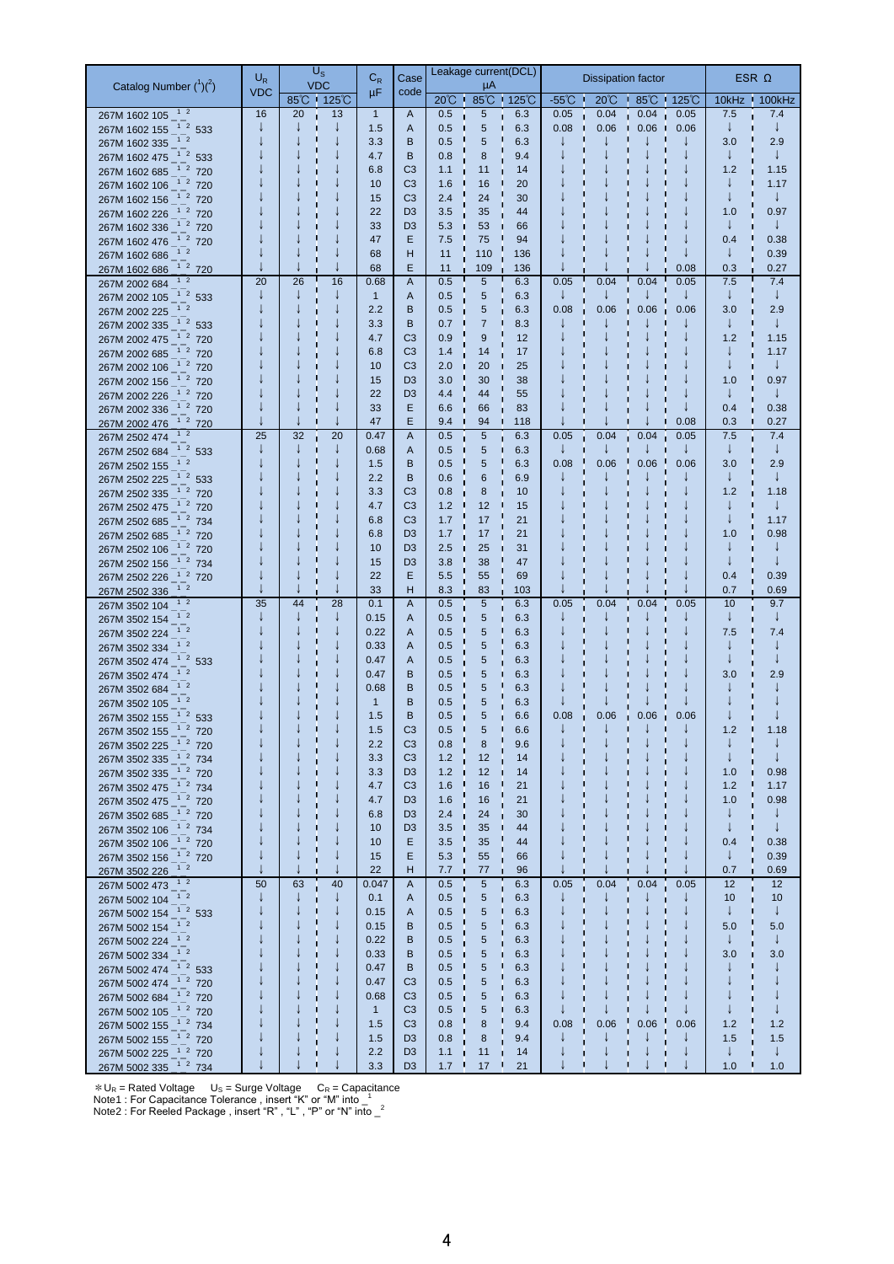|                                                                              | $U_R$      | $U_{\rm S}$      |        | $\mathrm{C_{R}}$ | Case                             |                            | Leakage current(DCL) |            |                         | <b>Dissipation factor</b> |                                    |      | ESR $\Omega$        |                     |
|------------------------------------------------------------------------------|------------|------------------|--------|------------------|----------------------------------|----------------------------|----------------------|------------|-------------------------|---------------------------|------------------------------------|------|---------------------|---------------------|
| Catalog Number $(^1)(^2)$                                                    | <b>VDC</b> | <b>VDC</b>       |        | μF               | code                             |                            | μA                   |            |                         |                           |                                    |      |                     |                     |
|                                                                              | 16         | 85°C 125°C<br>20 | 13     | $\mathbf{1}$     | A                                | $20^{\circ}$ $\sim$<br>0.5 | 85°C 125°C<br>5      | 6.3        | $-55^{\circ}$ C<br>0.05 | $20^{\circ}$ C<br>0.04    | $\cdot$ 85°C $\cdot$ 125°C<br>0.04 | 0.05 | 7.5                 | 10kHz 100kHz<br>7.4 |
| 267M 1602 105 <sup>12</sup><br>267M 1602 155 <sup>1 2</sup> 533              | J          |                  |        | 1.5              | A                                | 0.5                        | $\sqrt{5}$           | 6.3        | 0.08                    | 0.06                      | 0.06<br>- 11                       | 0.06 | $\downarrow$        | ↓                   |
| 267M 1602 335 - 1 2                                                          |            |                  |        | 3.3              | B                                | 0.5                        | 5                    | 6.3        |                         |                           |                                    |      | 3.0                 | 2.9                 |
| 267M 1602 475 $^{-1}$ $^{-2}$ 533                                            |            |                  |        | 4.7              | B                                | 0.8                        | 8                    | 9.4        |                         |                           |                                    |      | $\downarrow$        | ↓                   |
| 267M 1602 685 <sup>-1</sup> <sup>2</sup> 720                                 |            |                  |        | 6.8              | C <sub>3</sub>                   | 1.1                        | 11                   | 14         |                         |                           |                                    |      | 1.2                 | 1.15                |
| 267M 1602 106 <sup>1</sup> 2 720                                             |            |                  |        | 10               | C <sub>3</sub>                   | 1.6                        | 16                   | 20         |                         |                           |                                    |      | ↓                   | 1.17                |
| 267M 1602 156 <sup>-1</sup> <sup>2</sup> 720                                 |            |                  |        | 15               | C <sub>3</sub>                   | 2.4                        | 24                   | 30         |                         |                           |                                    |      | T                   | $\downarrow$        |
| 267M 1602 226 <sup>1</sup> 2 720                                             |            |                  |        | 22               | D <sub>3</sub>                   | 3.5                        | 35                   | 44         |                         |                           |                                    |      | 1.0                 | 0.97                |
| 267M 1602 336 <sup>-1</sup> <sup>2</sup> 720                                 |            |                  |        | 33               | D <sub>3</sub>                   | 5.3                        | 53                   | 66         |                         |                           |                                    |      | $\downarrow$        |                     |
| 267M 1602 476 <sup>1</sup> 2 720                                             |            |                  |        | 47<br>68         | Ε<br>н                           | 7.5<br>11                  | 75<br>110            | 94<br>136  |                         |                           |                                    |      | 0.4<br>$\downarrow$ | 0.38<br>0.39        |
| 267M 1602 686 <sup>1 2</sup><br>267M 1602 686 <sup>1 2</sup> 720             |            |                  |        | 68               | E                                | 11                         | 109                  | 136        |                         |                           |                                    | 0.08 | 0.3                 | 0.27                |
| 267M 2002 684 <sup>1</sup> <sup>2</sup>                                      | 20         | 26               | 16     | 0.68             | A                                | 0.5<br>Г                   | 5                    | 6.3        | 0.05                    | 0.04                      | 0.04                               | 0.05 | 7.5                 | 7.4                 |
| 267M 2002 105 <sup>1</sup> <sup>2</sup> 533                                  |            |                  | J      | $\mathbf{1}$     | A                                | 0.5                        | 5                    | 6.3        |                         |                           |                                    |      | $\downarrow$        | $\downarrow$        |
| 267M 2002 225 <sup>1 2</sup>                                                 |            |                  |        | 2.2              | B                                | 0.5                        | 5                    | 6.3        | 0.08                    | 0.06                      | 0.06                               | 0.06 | 3.0                 | 2.9                 |
| 267M 2002 335 <sup>1</sup> 2 533                                             |            |                  |        | 3.3              | B                                | 0.7                        | $\overline{7}$       | 8.3        |                         |                           |                                    |      | $\downarrow$        | ↓                   |
| 267M 2002 475 <sup>1</sup> 2 720                                             |            |                  |        | 4.7              | C <sub>3</sub>                   | 0.9                        | 9                    | 12         |                         |                           |                                    |      | 1.2                 | 1.15                |
| 267M 2002 685 <sup>12</sup> 720                                              |            |                  |        | 6.8              | C <sub>3</sub>                   | 1.4                        | 14                   | 17         |                         |                           |                                    |      | ↓                   | 1.17                |
| 267M 2002 106 <sup>1</sup> 2 720                                             |            |                  |        | 10               | C <sub>3</sub>                   | 2.0                        | 20                   | 25         |                         |                           |                                    |      | ↓                   | ↓                   |
| 267M 2002 156 <sup>-12</sup> 720                                             |            |                  |        | 15<br>22         | D <sub>3</sub><br>D <sub>3</sub> | 3.0<br>4.4                 | 30<br>44             | 38<br>55   |                         |                           |                                    |      | 1.0<br>$\downarrow$ | 0.97                |
| 267M 2002 226 <sup>1 2</sup> 720<br>267M 2002 336 <sup>-12</sup> 720         |            |                  |        | 33               | Ε                                | 6.6                        | 66                   | 83         |                         |                           |                                    |      | 0.4                 | 0.38                |
| 267M 2002 476 <sup>1</sup> 2 720                                             |            |                  |        | 47               | E                                | 9.4                        | 94                   | 118        |                         |                           |                                    | 0.08 | 0.3                 | 0.27                |
| 267M 2502 474 <sup>1</sup> <sup>2</sup>                                      | 25         | 32               | 20     | 0.47             | A                                | 0.5                        | 5                    | 6.3        | 0.05                    | 0.04                      | 0.04                               | 0.05 | 7.5                 | 7.4                 |
| 267M 2502 684 <sup>1 2</sup> 533                                             |            |                  | J      | 0.68             | A                                | 0.5                        | 5                    | 6.3        |                         |                           |                                    |      | $\downarrow$        | $\downarrow$        |
| 267M 2502 155<br>$1\quad2$                                                   |            |                  |        | 1.5              | B                                | 0.5                        | 5                    | 6.3        | 0.08                    | 0.06                      | 0.06<br>n                          | 0.06 | 3.0                 | 2.9                 |
| 267M 2502 225 <sup>1 2</sup> 533                                             |            |                  |        | 2.2              | B                                | 0.6                        | 6                    | 6.9        |                         |                           |                                    |      | $\downarrow$        | $\downarrow$        |
| 267M 2502 335 <sup>1</sup> 2 720                                             |            |                  |        | 3.3              | C <sub>3</sub>                   | 0.8                        | 8                    | 10         |                         |                           |                                    |      | 1.2                 | 1.18                |
| 267M 2502 475 <sup>1 2</sup> 720                                             |            |                  |        | 4.7              | C <sub>3</sub><br>C <sub>3</sub> | 1.2                        | 12<br>17             | 15         |                         |                           |                                    |      | ↓<br>J              | J                   |
| 267M 2502 685 <sup>1</sup> 2734<br>267M 2502 685 <sup>1 2</sup> 720          |            |                  |        | 6.8<br>6.8       | D <sub>3</sub>                   | 1.7<br>1.7                 | 17                   | 21<br>21   |                         |                           |                                    |      | 1.0                 | 1.17<br>0.98        |
| 267M 2502 106 <sup>1</sup> 2 720                                             |            |                  |        | 10               | D <sub>3</sub>                   | 2.5                        | 25                   | 31         |                         |                           |                                    |      | ↓                   |                     |
| 267M 2502 156 <sup>-12</sup> 734                                             |            |                  |        | 15               | D <sub>3</sub>                   | 3.8                        | 38                   | 47         |                         |                           |                                    |      |                     |                     |
| 267M 2502 226 <sup>-12</sup> 720                                             |            |                  |        | 22               | E                                | 5.5                        | 55                   | 69         |                         |                           |                                    |      | 0.4                 | 0.39                |
| $1\quad2$<br>267M 2502 336                                                   |            |                  |        | 33               | н                                | 8.3                        | 83                   | 103        |                         |                           |                                    |      | 0.7                 | 0.69                |
| 267M 3502 104 <sup>1 2</sup>                                                 | 35         | 44               | 28     | 0.1              | A                                | 0.5                        | 5                    | 6.3        | 0.05                    | 0.04                      | 0.04<br>÷<br>ш                     | 0.05 | 10                  | 9.7                 |
| $1\quad2$<br>267M 3502 154                                                   |            |                  |        | 0.15             | A                                | 0.5                        | 5                    | 6.3        |                         |                           |                                    |      | J                   |                     |
| 267M 3502 224 <sup>1 2</sup>                                                 |            |                  |        | 0.22             | A                                | 0.5                        | 5                    | 6.3        |                         |                           |                                    |      | 7.5                 | 7.4                 |
| 267M 3502 334 <sup>1 2</sup><br>267M 3502 474 <sup>1 2</sup> 533             |            |                  |        | 0.33<br>0.47     | A<br>A                           | 0.5<br>0.5                 | 5<br>5               | 6.3<br>6.3 |                         |                           |                                    |      |                     |                     |
| 267M 3502 474 <sup>1 2</sup>                                                 |            |                  |        | 0.47             | B                                | 0.5                        | 5                    | 6.3        |                         |                           |                                    |      | 3.0                 | 2.9                 |
| 267M 3502 684 <sup>1</sup>                                                   |            |                  |        | 0.68             | в                                | 0.5                        | 5                    | 6.3        |                         |                           |                                    |      |                     |                     |
| 267M 3502 105 <sup>1 2</sup>                                                 |            |                  |        | $\mathbf{1}$     | B                                | 0.5                        | 5                    | 6.3        |                         |                           |                                    |      |                     |                     |
| 267M 3502 155 <sup>1</sup> <sup>2</sup> 533                                  |            |                  |        | 1.5              | B                                | 0.5                        | 5                    | 6.6        | 0.08                    | 0.06                      | 0.06                               | 0.06 |                     |                     |
| 267M 3502 155 <sup>-12</sup> 720                                             |            |                  |        | 1.5              | C <sub>3</sub>                   | 0.5                        | 5                    | 6.6        |                         |                           |                                    |      | 1.2                 | 1.18                |
| 267M 3502 225 <sup>-</sup> <sup>2</sup> 720                                  |            |                  |        | 2.2              | C <sub>3</sub>                   | 0.8                        | 8                    | 9.6        |                         |                           | п                                  |      |                     |                     |
| 267M 3502 335 <sup>1</sup> 2 734                                             |            |                  |        | 3.3              | C <sub>3</sub>                   | 1.2                        | 12                   | 14         |                         |                           | П                                  |      |                     |                     |
| 267M 3502 335 <sup>1</sup> <sup>2</sup> 720                                  |            |                  | ↓<br>J | 3.3              | D <sub>3</sub>                   | 1.2                        | 12                   | 14         |                         |                           | п<br>п                             |      | 1.0                 | 0.98                |
| 267M 3502 475 <sup>-1</sup> 734<br>267M 3502 475 <sup>-12</sup> 720          |            |                  | J      | 4.7<br>4.7       | C <sub>3</sub><br>D <sub>3</sub> | 1.6<br>1.6                 | 16<br>16             | 21<br>21   |                         |                           |                                    |      | 1.2<br>1.0          | 1.17<br>0.98        |
| 267M 3502 685 - <sup>1</sup> 2 720                                           |            |                  |        | 6.8              | D <sub>3</sub>                   | 2.4                        | 24                   | 30         |                         |                           |                                    |      | ↓                   |                     |
| 267M 3502 106 <sup>1 2</sup> 734                                             |            |                  | J      | 10 <sup>°</sup>  | D <sub>3</sub>                   | 3.5                        | 35                   | 44         |                         |                           |                                    |      | $\downarrow$        | J                   |
| 267M 3502 106 <sup>1</sup> 2 720                                             |            |                  |        | 10 <sup>°</sup>  | E                                | 3.5                        | 35                   | 44         |                         |                           |                                    |      | 0.4                 | 0.38                |
| 267M 3502 156 - <sup>1</sup> 2 720                                           |            |                  | ↓      | 15               | E                                | 5.3                        | 55                   | 66         |                         |                           |                                    |      | $\downarrow$        | 0.39                |
| 267M 3502 226 <sup>1 2</sup>                                                 |            |                  |        | 22               | н                                | 7.7                        | 77                   | 96         |                         |                           |                                    |      | 0.7                 | 0.69                |
| 267M 5002 473 $^{12}$                                                        | 50<br>J    | 63               | 40     | 0.047            | A                                | 0.5                        | 5                    | 6.3        | 0.05                    | 0.04                      | ш<br>0.04<br>u.                    | 0.05 | 12                  | 12                  |
| 267M 5002 104 $^{-1}$ $^{-2}$                                                |            | п                | ↓<br>↓ | 0.1              | A                                | 0.5                        | 5                    | 6.3        |                         |                           | п<br>п                             |      | 10<br>$\downarrow$  | 10<br>$\downarrow$  |
| 267M 5002 154 <sup>1 2</sup> 533<br>267M 5002 154 <sup>-1</sup> <sup>2</sup> |            |                  | J      | 0.15<br>0.15     | Α<br>В                           | 0.5<br>0.5                 | $\sqrt{5}$<br>5      | 6.3<br>6.3 |                         |                           | П                                  |      | 5.0                 | 5.0                 |
| 267M 5002 224 <sup>1 2</sup>                                                 |            |                  |        | 0.22             | B                                | 0.5                        | 5                    | 6.3        |                         |                           |                                    |      | $\downarrow$        | ↓                   |
| 267M 5002 334 <sup>1 2</sup>                                                 |            |                  | J      | 0.33             | В                                | 0.5                        | 5                    | 6.3        |                         |                           |                                    |      | 3.0                 | 3.0                 |
| 267M 5002 474 <sup>1 2</sup> 533                                             |            |                  |        | 0.47             | B                                | 0.5                        | 5                    | 6.3        |                         |                           |                                    |      |                     |                     |
| 267M 5002 474 <sup>-12</sup> 720                                             |            |                  |        | 0.47             | C <sub>3</sub>                   | 0.5                        | 5                    | 6.3        |                         |                           |                                    |      |                     |                     |
| 267M 5002 684 <sup>-1</sup> <sup>2</sup> 720                                 |            |                  |        | 0.68             | C <sub>3</sub>                   | 0.5                        | 5                    | 6.3        |                         |                           |                                    |      |                     |                     |
| 267M 5002 105 <sup>1 2</sup> 720                                             |            |                  | J      | $\mathbf{1}$     | C <sub>3</sub>                   | 0.5                        | 5                    | 6.3        |                         |                           |                                    |      |                     |                     |
| 267M 5002 155 <sup>1 2</sup> 734                                             |            |                  | J      | 1.5              | C <sub>3</sub>                   | 0.8                        | 8                    | 9.4        | 0.08                    | 0.06                      | п<br>0.06                          | 0.06 | 1.2                 | 1.2                 |
| 267M 5002 155 <sup>1</sup> <sup>2</sup> 720                                  |            |                  |        | 1.5              | D <sub>3</sub>                   | 0.8                        | 8                    | 9.4        |                         |                           | п<br>↓                             |      | 1.5<br>$\downarrow$ | 1.5<br>$\downarrow$ |
| 267M 5002 225 <sup>-12</sup> 720<br>267M 5002 335 <sup>1</sup> 2 734         |            |                  |        | 2.2<br>3.3       | D <sub>3</sub><br>D <sub>3</sub> | 1.1<br>$1.7 +$             | 11<br>17<br>u        | 14<br>21   |                         | ↓<br>J                    | T.<br>п<br>п<br>J<br>п             |      | 1.0<br>п            | 1.0                 |
|                                                                              |            |                  |        |                  |                                  |                            |                      |            |                         |                           |                                    |      |                     |                     |

 $*U_R$  = Rated Voltage U<sub>S</sub> = Surge Voltage C<sub>R</sub> = Capacitance<br>Note1 : For Capacitance Tolerance , insert "K" or "M" into \_<sup>1</sup>

Note2 : For Reeled Package, insert "R", "L", "P" or "N" into \_2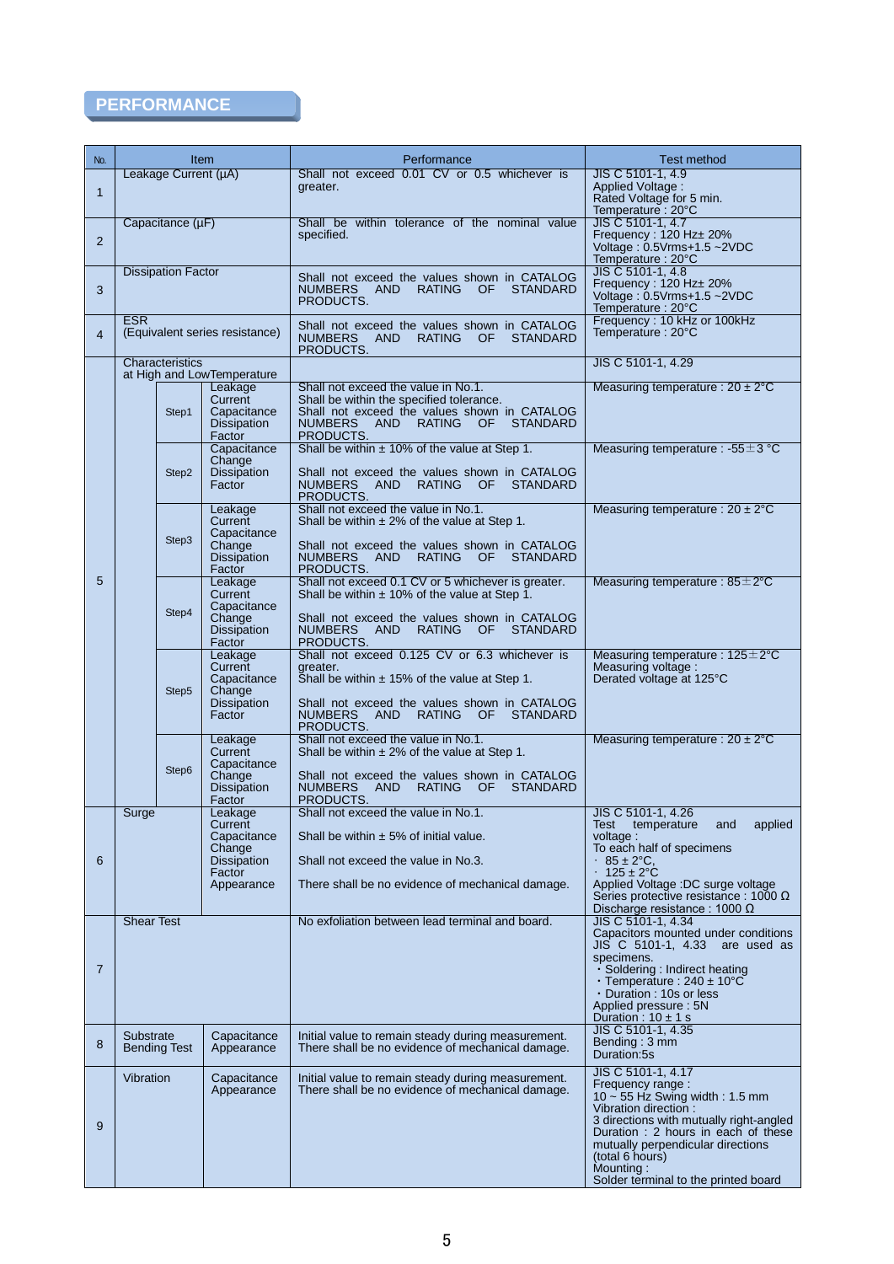# **PERFORMANCE**

| No.            | Performance<br>Item              |                                                                                           |                                                                                                                                                                                                                                                 | <b>Test method</b>                                                                                                                                                                                                                                                                                  |
|----------------|----------------------------------|-------------------------------------------------------------------------------------------|-------------------------------------------------------------------------------------------------------------------------------------------------------------------------------------------------------------------------------------------------|-----------------------------------------------------------------------------------------------------------------------------------------------------------------------------------------------------------------------------------------------------------------------------------------------------|
| $\mathbf{1}$   | Leakage Current (µA)             |                                                                                           | Shall not exceed 0.01 CV or 0.5 whichever is<br>greater.                                                                                                                                                                                        | JIS C 5101-1, 4.9<br>Applied Voltage:<br>Rated Voltage for 5 min.<br>Temperature: 20°C                                                                                                                                                                                                              |
| $\overline{2}$ | Capacitance (µF)                 |                                                                                           | Shall be within tolerance of the nominal value<br>specified.                                                                                                                                                                                    | JIS C 5101-1, 4.7<br>Frequency: 120 Hz± 20%<br>Voltage: 0.5Vrms+1.5~2VDC<br>Temperature: 20°C                                                                                                                                                                                                       |
| 3              | <b>Dissipation Factor</b>        |                                                                                           | Shall not exceed the values shown in CATALOG<br><b>NUMBERS</b><br>AND<br><b>RATING</b><br>OF.<br><b>STANDARD</b><br>PRODUCTS.                                                                                                                   |                                                                                                                                                                                                                                                                                                     |
| $\overline{4}$ | <b>ESR</b>                       | (Equivalent series resistance)                                                            | Shall not exceed the values shown in CATALOG<br><b>NUMBERS</b><br><b>AND</b><br><b>RATING</b><br><b>STANDARD</b><br>OF.<br>PRODUCTS.                                                                                                            | Temperature: 20°C<br>Frequency: 10 kHz or 100kHz<br>Temperature: 20°C                                                                                                                                                                                                                               |
|                | Characteristics                  | at High and LowTemperature                                                                |                                                                                                                                                                                                                                                 | JIS C 5101-1, 4.29                                                                                                                                                                                                                                                                                  |
|                | Step1                            | Leakage<br>Current<br>Capacitance<br><b>Dissipation</b><br>Factor                         | Shall not exceed the value in No.1.<br>Shall be within the specified tolerance.<br>Shall not exceed the values shown in CATALOG<br>AND<br><b>NUMBERS</b><br>RATING<br>OF O<br><b>STANDARD</b><br>PRODUCTS.                                      | Measuring temperature : $20 \pm 2^{\circ}$ C                                                                                                                                                                                                                                                        |
|                | Step2                            | Capacitance<br>Change<br><b>Dissipation</b><br>Factor                                     | Shall be within $\pm$ 10% of the value at Step 1.<br>Shall not exceed the values shown in CATALOG<br>NUMBERS AND<br>RATING OF<br><b>STANDARD</b><br>PRODUCTS.                                                                                   | Measuring temperature : $-55 \pm 3$ °C                                                                                                                                                                                                                                                              |
|                | Step3                            | Leakage<br>Current<br>Capacitance<br>Change<br><b>Dissipation</b><br>Factor               | Shall not exceed the value in No.1.<br>Shall be within $\pm 2\%$ of the value at Step 1.<br>Shall not exceed the values shown in CATALOG<br>NUMBERS AND<br>RATING OF<br><b>STANDARD</b><br>PRODUCTS.                                            | Measuring temperature : $20 \pm 2^{\circ}$ C                                                                                                                                                                                                                                                        |
| 5              | Step4                            | Leakage<br>Current<br>Capacitance<br>Change<br><b>Dissipation</b><br>Factor               | Shall not exceed 0.1 CV or 5 whichever is greater.<br>Shall be within $\pm$ 10% of the value at Step 1.<br>Shall not exceed the values shown in CATALOG<br><b>STANDARD</b><br>NUMBERS AND<br><b>RATING</b><br>OF.<br>PRODUCTS.                  | Measuring temperature : $85 \pm 2^{\circ}$ C                                                                                                                                                                                                                                                        |
|                | Step5                            | Leakage<br>Current<br>Capacitance<br>Change<br>Dissipation<br>Factor                      | Shall not exceed 0.125 CV or 6.3 whichever is<br>greater.<br>Shall be within $\pm$ 15% of the value at Step 1.<br>Shall not exceed the values shown in CATALOG<br><b>RATING</b><br>NUMBERS<br><b>AND</b><br>OF.<br><b>STANDARD</b><br>PRODUCTS. | Measuring temperature : $125 \pm 2^{\circ}$ C<br>Measuring voltage:<br>Derated voltage at 125°C                                                                                                                                                                                                     |
|                | Step6                            | Leakage<br>Current<br>Capacitance<br>Change<br><b>Dissipation</b><br>Factor               | Shall not exceed the value in No.1.<br>Shall be within $\pm 2\%$ of the value at Step 1.<br>Shall not exceed the values shown in CATALOG<br><b>NUMBERS</b><br><b>AND</b><br><b>RATING</b><br><b>STANDARD</b><br>OF.<br>PRODUCTS.                | Measuring temperature : $20 \pm 2^{\circ}$ C                                                                                                                                                                                                                                                        |
| 6              | Surge                            | Leakage<br>Current<br>Capacitance<br>Change<br><b>Dissipation</b><br>Factor<br>Appearance | Shall not exceed the value in No.1.<br>Shall be within $\pm$ 5% of initial value.<br>Shall not exceed the value in No.3.<br>There shall be no evidence of mechanical damage.                                                                    | JIS C 5101-1, 4.26<br>temperature<br>Test<br>applied<br>and<br>voltage:<br>To each half of specimens<br>$85 \pm 2$ °C.<br>$\bullet$<br>$125 \pm 2^{\circ}$ C<br>Applied Voltage :DC surge voltage<br>Series protective resistance : 1000 $\Omega$<br>Discharge resistance : 1000 $\Omega$           |
| 7              | <b>Shear Test</b>                |                                                                                           | No exfoliation between lead terminal and board.                                                                                                                                                                                                 | JIS C 5101-1, 4.34<br>Capacitors mounted under conditions<br>JIS C 5101-1, 4.33 are used as<br>specimens.<br>· Soldering: Indirect heating<br>$\cdot$ Temperature : 240 $\pm$ 10°C<br>• Duration : 10s or less<br>Applied pressure: 5N<br>Duration : $10 \pm 1$ s                                   |
| 8              | Substrate<br><b>Bending Test</b> | Capacitance<br>Appearance                                                                 | Initial value to remain steady during measurement.<br>There shall be no evidence of mechanical damage.                                                                                                                                          | JIS C 5101-1, 4.35<br>Bending: 3 mm<br>Duration:5s                                                                                                                                                                                                                                                  |
| 9              | Vibration                        | Capacitance<br>Appearance                                                                 | Initial value to remain steady during measurement.<br>There shall be no evidence of mechanical damage.                                                                                                                                          | JIS C 5101-1, 4.17<br>Frequency range:<br>$10 \sim 55$ Hz Swing width: 1.5 mm<br>Vibration direction:<br>3 directions with mutually right-angled<br>Duration: 2 hours in each of these<br>mutually perpendicular directions<br>(total 6 hours)<br>Mounting:<br>Solder terminal to the printed board |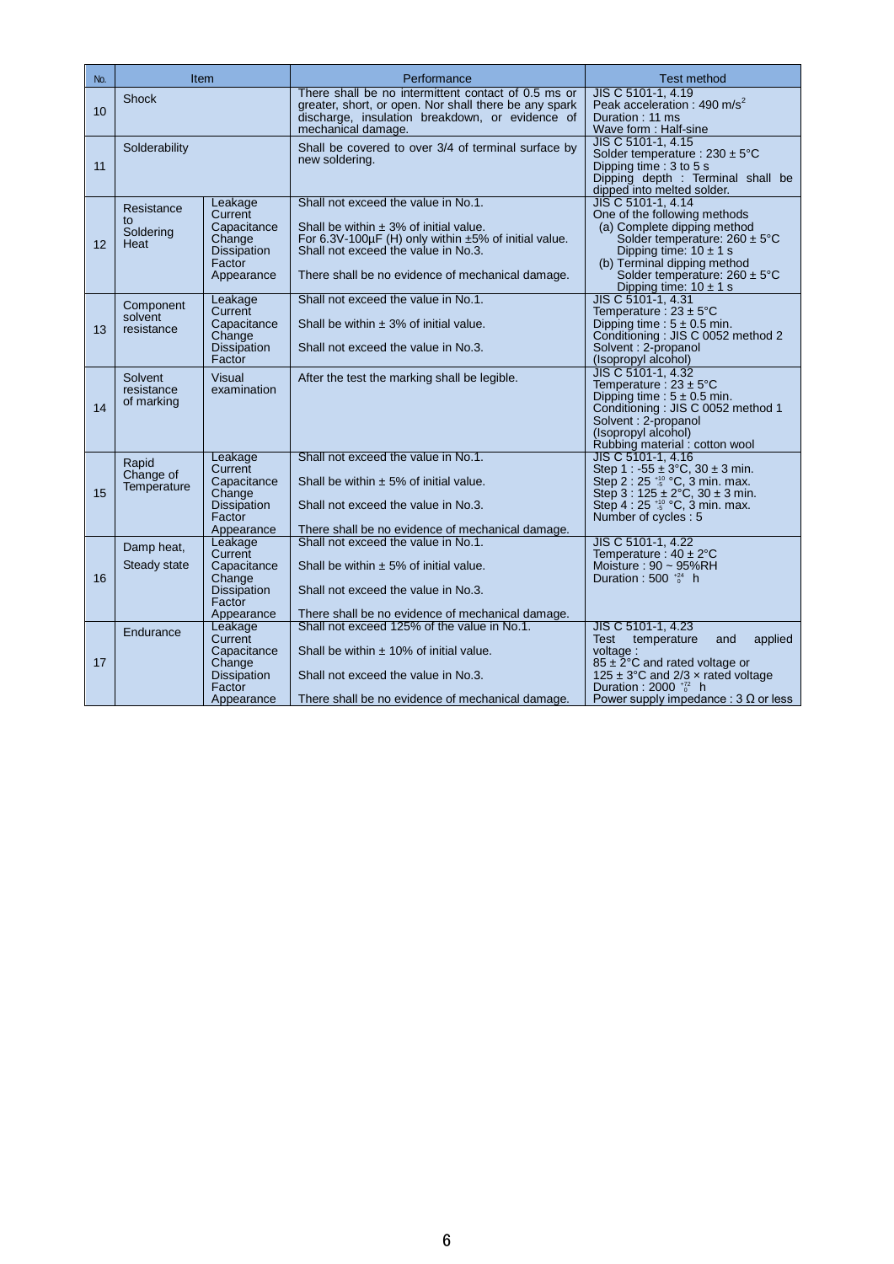| No. | <b>Item</b>                           |                                                                                           | Performance                                                                                                                                                                                                                                     | <b>Test method</b>                                                                                                                                                                                                                                                     |
|-----|---------------------------------------|-------------------------------------------------------------------------------------------|-------------------------------------------------------------------------------------------------------------------------------------------------------------------------------------------------------------------------------------------------|------------------------------------------------------------------------------------------------------------------------------------------------------------------------------------------------------------------------------------------------------------------------|
| 10  | <b>Shock</b>                          |                                                                                           | There shall be no intermittent contact of 0.5 ms or<br>greater, short, or open. Nor shall there be any spark<br>discharge, insulation breakdown, or evidence of<br>mechanical damage.                                                           | JIS C 5101-1, 4.19<br>Peak acceleration : 490 m/s <sup>2</sup><br>Duration: 11 ms<br>Wave form: Half-sine                                                                                                                                                              |
| 11  | Solderability                         |                                                                                           | Shall be covered to over 3/4 of terminal surface by<br>new soldering.                                                                                                                                                                           | JIS C 5101-1, 4.15<br>Solder temperature : $230 \pm 5^{\circ}$ C<br>Dipping time: 3 to 5 s<br>Dipping depth : Terminal shall be<br>dipped into melted solder.                                                                                                          |
| 12  | Resistance<br>to<br>Soldering<br>Heat | Leakage<br>Current<br>Capacitance<br>Change<br><b>Dissipation</b><br>Factor<br>Appearance | Shall not exceed the value in No.1.<br>Shall be within $\pm$ 3% of initial value.<br>For $6.3V-100\mu F$ (H) only within $\pm 5\%$ of initial value.<br>Shall not exceed the value in No.3.<br>There shall be no evidence of mechanical damage. | JIS C 5101-1, 4.14<br>One of the following methods<br>(a) Complete dipping method<br>Solder temperature: $260 \pm 5^{\circ}$ C<br>Dipping time: $10 \pm 1$ s<br>(b) Terminal dipping method<br>Solder temperature: $260 \pm 5^{\circ}$ C<br>Dipping time: $10 \pm 1$ s |
| 13  | Component<br>solvent<br>resistance    | Leakage<br>Current<br>Capacitance<br>Change<br><b>Dissipation</b><br>Factor               | Shall not exceed the value in No.1.<br>Shall be within $\pm$ 3% of initial value.<br>Shall not exceed the value in No.3.                                                                                                                        | JIS C 5101-1, 4.31<br>Temperature: $23 \pm 5^{\circ}$ C<br>Dipping time : $5 \pm 0.5$ min.<br>Conditioning: JIS C 0052 method 2<br>Solvent: 2-propanol<br>(Isopropyl alcohol)                                                                                          |
| 14  | Solvent<br>resistance<br>of marking   | <b>Visual</b><br>examination                                                              | After the test the marking shall be legible.                                                                                                                                                                                                    | JIS C 5101-1, 4.32<br>Temperature: $23 \pm 5^{\circ}$ C<br>Dipping time : $5 \pm 0.5$ min.<br>Conditioning: JIS C 0052 method 1<br>Solvent: 2-propanol<br>(Isopropyl alcohol)<br>Rubbing material : cotton wool                                                        |
| 15  | Rapid<br>Change of<br>Temperature     | Leakage<br>Current<br>Capacitance<br>Change<br><b>Dissipation</b><br>Factor<br>Appearance | Shall not exceed the value in No.1.<br>Shall be within $\pm$ 5% of initial value.<br>Shall not exceed the value in No.3.<br>There shall be no evidence of mechanical damage.                                                                    | JIS C 5101-1, 4.16<br>Step 1 : $-55 \pm 3^{\circ}C$ , $30 \pm 3$ min.<br>Step 2 : 25 *5 °C, 3 min. max.<br>Step $3:125 \pm 2^{\circ}$ C, $30 \pm 3$ min.<br>Step 4 : 25 <sup>+10</sup> °C, 3 min. max.<br>Number of cycles: 5                                          |
| 16  | Damp heat,<br>Steady state            | Leakage<br>Current<br>Capacitance<br>Change<br><b>Dissipation</b><br>Factor<br>Appearance | Shall not exceed the value in No.1.<br>Shall be within $\pm$ 5% of initial value.<br>Shall not exceed the value in No.3.<br>There shall be no evidence of mechanical damage.                                                                    | JIS C 5101-1, 4.22<br>Temperature: $40 \pm 2^{\circ}$ C<br>Moisture: $90 \sim 95\%RH$<br>Duration : 500 $^{+24}$ h                                                                                                                                                     |
| 17  | Endurance                             | Leakage<br>Current<br>Capacitance<br>Change<br><b>Dissipation</b><br>Factor<br>Appearance | Shall not exceed 125% of the value in No.1.<br>Shall be within $\pm$ 10% of initial value.<br>Shall not exceed the value in No.3.<br>There shall be no evidence of mechanical damage.                                                           | JIS C 5101-1, 4.23<br>applied<br>Test temperature<br>and<br>voltage:<br>$85 \pm 2^{\circ}$ C and rated voltage or<br>125 $\pm$ 3°C and 2/3 $\times$ rated voltage<br>Duration : $2000_{0}^{+72}$ h<br>Power supply impedance : 3 $\Omega$ or less                      |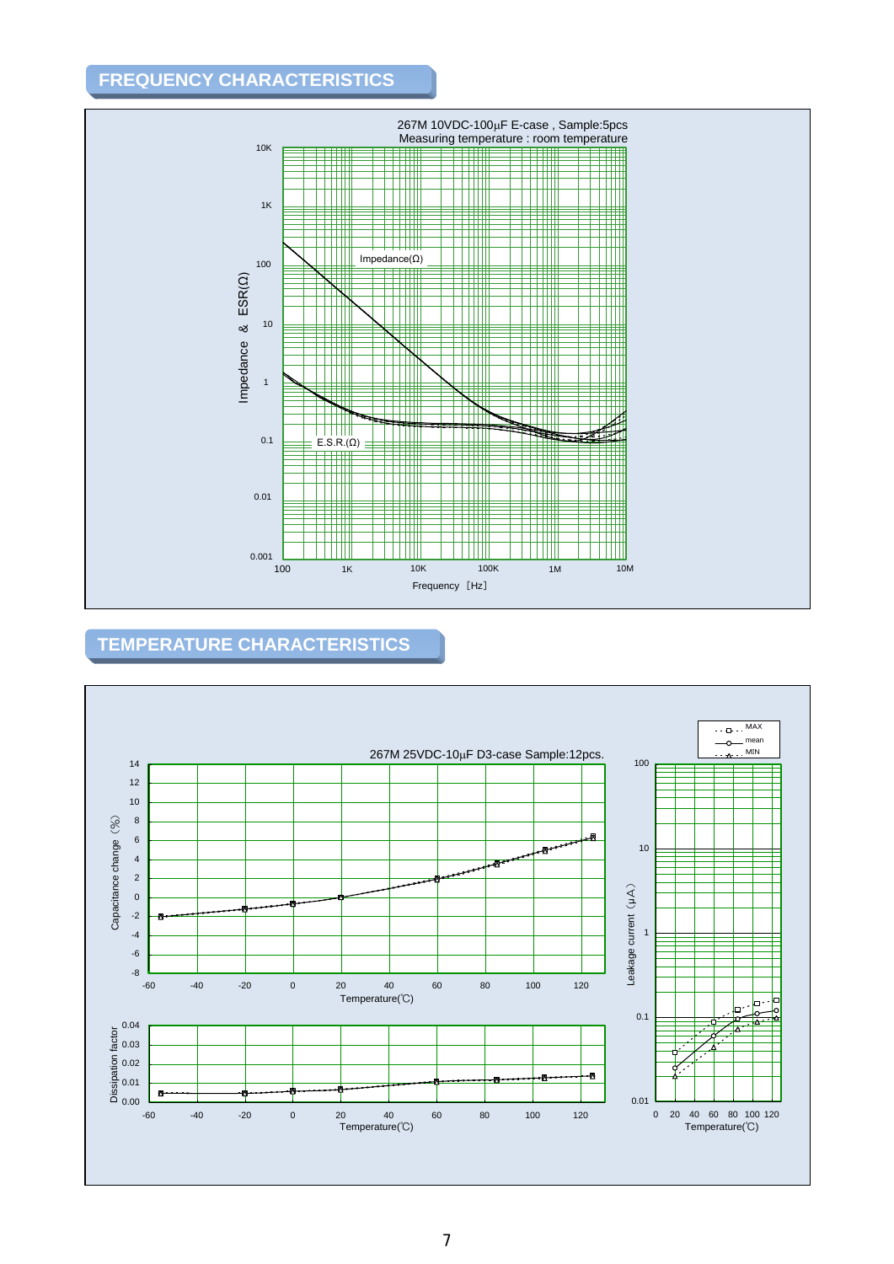## **FREQUENCY CHARACTERISTICS**



## **TEMPERATURE CHARACTERISTICS**

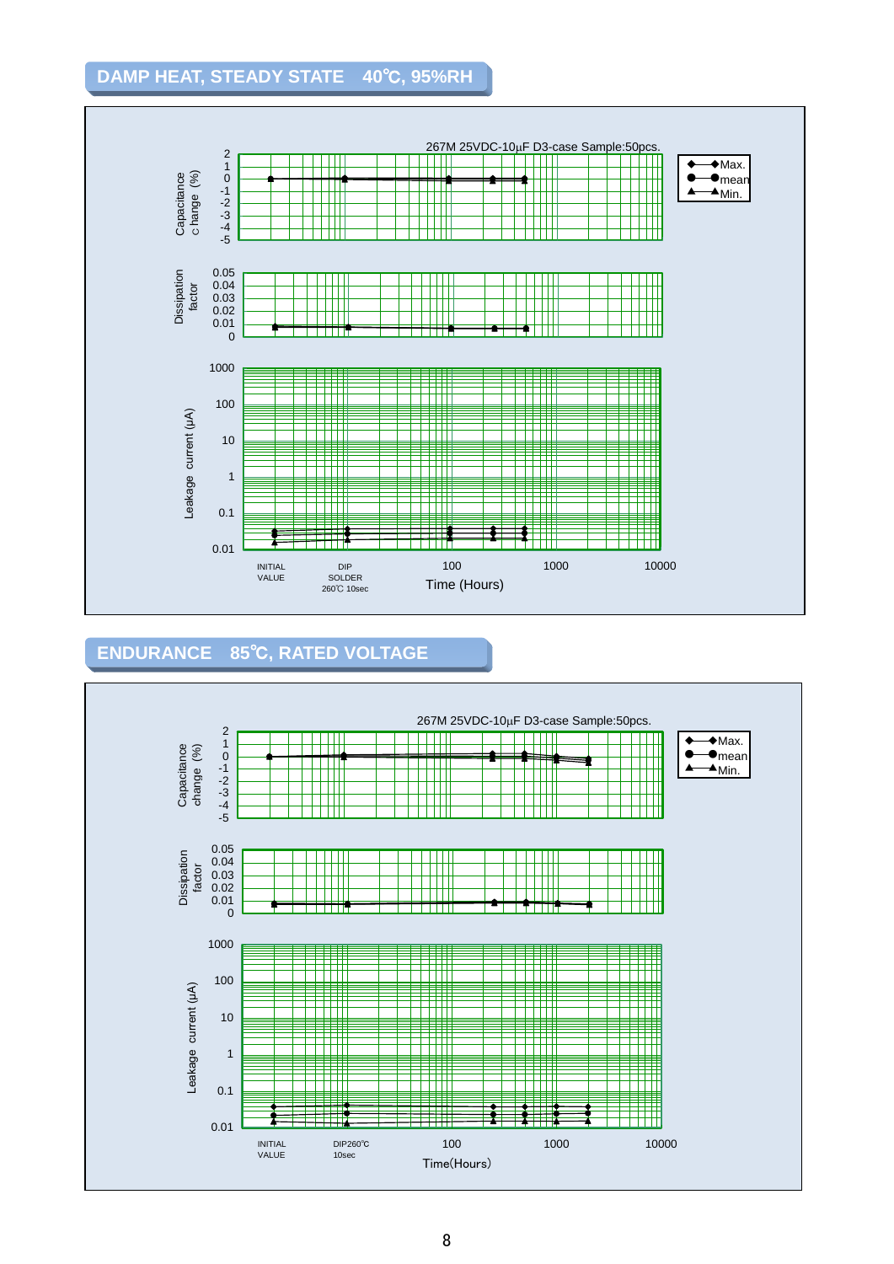### **DAMP HEAT, STEADY STATE 40**℃**, 95%RH**



## **ENDURANCE 85**℃**, RATED VOLTAGE**

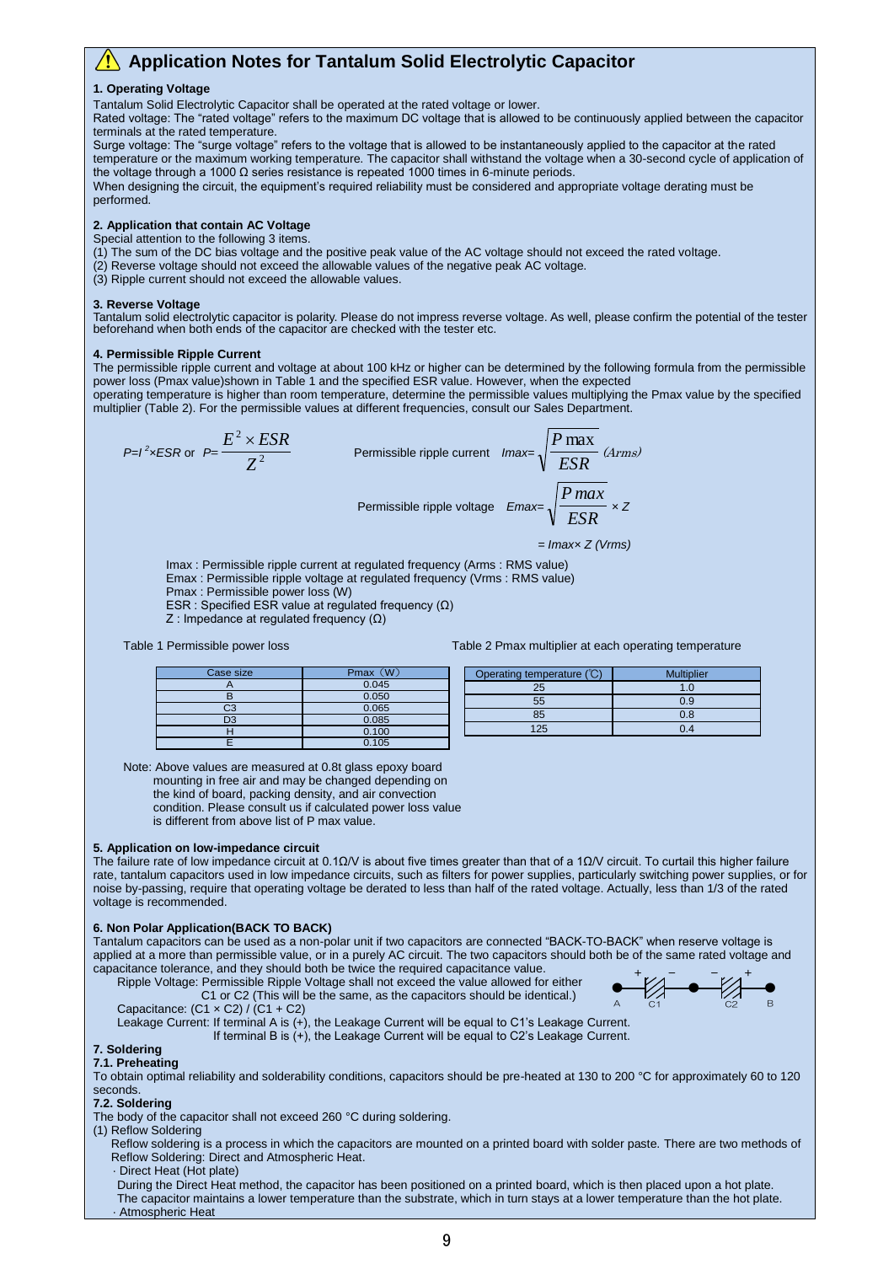### **Application Notes for Tantalum Solid Electrolytic Capacitor**

#### **1. Operating Voltage**

Tantalum Solid Electrolytic Capacitor shall be operated at the rated voltage or lower.

Rated voltage: The "rated voltage" refers to the maximum DC voltage that is allowed to be continuously applied between the capacitor terminals at the rated temperature.

Surge voltage: The "surge voltage" refers to the voltage that is allowed to be instantaneously applied to the capacitor at the rated temperature or the maximum working temperature. The capacitor shall withstand the voltage when a 30-second cycle of application of the voltage through a 1000 Ω series resistance is repeated 1000 times in 6-minute periods.

When designing the circuit, the equipment's required reliability must be considered and appropriate voltage derating must be performed.

#### **2. Application that contain AC Voltage**

Special attention to the following 3 items.

(1) The sum of the DC bias voltage and the positive peak value of the AC voltage should not exceed the rated voltage.

- (2) Reverse voltage should not exceed the allowable values of the negative peak AC voltage.
- (3) Ripple current should not exceed the allowable values.

#### **3. Reverse Voltage**

Tantalum solid electrolytic capacitor is polarity. Please do not impress reverse voltage. As well, please confirm the potential of the tester beforehand when both ends of the capacitor are checked with the tester etc.

#### **4. Permissible Ripple Current**

The permissible ripple current and voltage at about 100 kHz or higher can be determined by the following formula from the permissible power loss (Pmax value)shown in Table 1 and the specified ESR value. However, when the expected operating temperature is higher than room temperature, determine the permissible values multiplying the Pmax value by the specified

multiplier (Table 2). For the permissible values at different frequencies, consult our Sales Department.

$$
P=1^2 \times ESR \text{ or } P=\frac{E^2 \times ES}{Z^2}
$$

sible ripple current 
$$
Imax = \sqrt{\frac{P \text{ max}}{ESR}}
$$
 (*Arms*)

Permissible rip

$$
P = \frac{1}{\text{p}} \cdot \frac{1}{\text{p}} \cdot \frac{1}{\text{p}} \cdot \frac{1}{\text{p}} \cdot \frac{1}{\text{p}}
$$
\n
$$
P = \frac{1}{\text{p}} \cdot \frac{1}{\text{p}}
$$
\n
$$
P = \frac{1}{\text{p}}
$$
\n
$$
P = \frac{1}{\text{p}}
$$

 *= Imax× Z (Vrms)*

Imax : Permissible ripple current at regulated frequency (Arms : RMS value)

Emax : Permissible ripple voltage at regulated frequency (Vrms : RMS value)

Permis

Pmax : Permissible power loss (W)

ESR : Specified ESR value at regulated frequency (Ω)

Z : Impedance at regulated frequency (Ω)

*E ESR*

#### Table 1 Permissible power loss Table 2 Pmax multiplier at each operating temperature

| Case size      | <b>W</b><br>Pmax | Operating temperature (°C) | <b>Multiplier</b> |
|----------------|------------------|----------------------------|-------------------|
|                | 0.045            | OF<br>دے                   | . J               |
|                | 0.050            | 55                         | 0.9               |
| $\sim$<br>w    | 0.065            |                            |                   |
| D <sub>3</sub> | 0.085            | 85                         | v.c               |
|                | 0.100            | 125                        |                   |
|                | 0.105            |                            |                   |

Note: Above values are measured at 0.8t glass epoxy board mounting in free air and may be changed depending on the kind of board, packing density, and air convection

condition. Please consult us if calculated power loss value

is different from above list of P max value.

#### **5. Application on low-impedance circuit**

The failure rate of low impedance circuit at 0.1Ω/V is about five times greater than that of a 1Ω/V circuit. To curtail this higher failure rate, tantalum capacitors used in low impedance circuits, such as filters for power supplies, particularly switching power supplies, or for noise by-passing, require that operating voltage be derated to less than half of the rated voltage. Actually, less than 1/3 of the rated voltage is recommended.

#### **6. Non Polar Application(BACK TO BACK)**

Tantalum capacitors can be used as a non-polar unit if two capacitors are connected "BACK-TO-BACK" when reserve voltage is applied at a more than permissible value, or in a purely AC circuit. The two capacitors should both be of the same rated voltage and capacitance tolerance, and they should both be twice the required capacitance value.  $+$   $\mathbf{v}$   $\mathbf{v}$   $\mathbf{v}$   $\mathbf{v}$   $\mathbf{v}$   $\mathbf{v}$   $\mathbf{v}$   $\mathbf{v}$   $\mathbf{v}$   $\mathbf{v}$   $\mathbf{v}$   $\mathbf{v}$   $\mathbf{v}$   $\mathbf{v}$   $\mathbf{v}$   $\mathbf{v}$   $\mathbf{v}$   $\mathbf{v}$   $\mathbf{v}$   $\mathbf{v}$   $\mathbf{v}$   $\mathbf{v}$   $\mathbf{v}$   $\mathbf{v}$ 

Ripple Voltage: Permissible Ripple Voltage shall not exceed the value allowed for either C1 or C2 (This will be the same, as the capacitors should be identical.)



Capacitance:  $(C1 \times C2) / (C1 + C2)$ 

Leakage Current: If terminal A is (+), the Leakage Current will be equal to C1's Leakage Current.

If terminal B is (+), the Leakage Current will be equal to C2's Leakage Current.

#### **7. Soldering 7.1. Preheating**

To obtain optimal reliability and solderability conditions, capacitors should be pre-heated at 130 to 200 °C for approximately 60 to 120 seconds.

#### **7.2. Soldering**

The body of the capacitor shall not exceed 260 °C during soldering.

(1) Reflow Soldering

Reflow soldering is a process in which the capacitors are mounted on a printed board with solder paste. There are two methods of Reflow Soldering: Direct and Atmospheric Heat.

· Direct Heat (Hot plate)

During the Direct Heat method, the capacitor has been positioned on a printed board, which is then placed upon a hot plate. The capacitor maintains a lower temperature than the substrate, which in turn stays at a lower temperature than the hot plate. · Atmospheric Heat